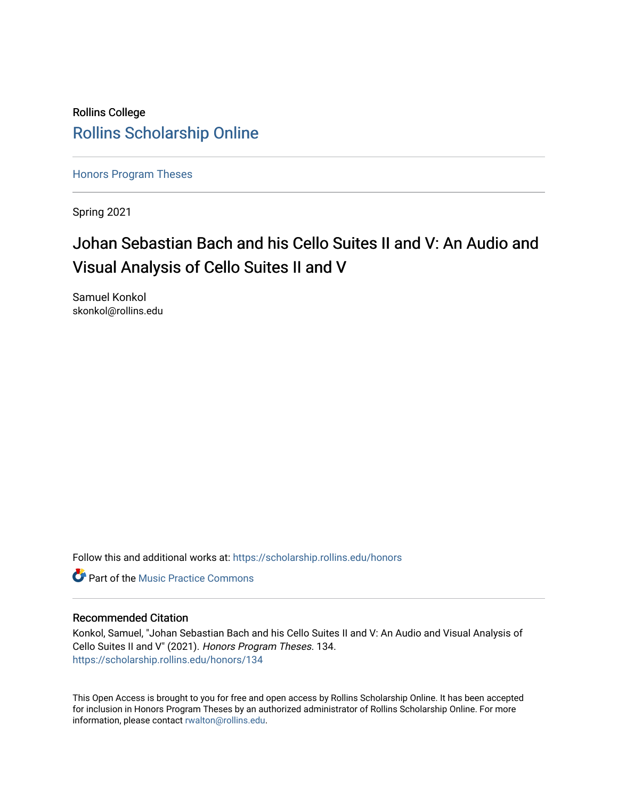# Rollins College [Rollins Scholarship Online](https://scholarship.rollins.edu/)

[Honors Program Theses](https://scholarship.rollins.edu/honors) 

Spring 2021

# Johan Sebastian Bach and his Cello Suites II and V: An Audio and Visual Analysis of Cello Suites II and V

Samuel Konkol skonkol@rollins.edu

Follow this and additional works at: [https://scholarship.rollins.edu/honors](https://scholarship.rollins.edu/honors?utm_source=scholarship.rollins.edu%2Fhonors%2F134&utm_medium=PDF&utm_campaign=PDFCoverPages) 

**C** Part of the Music Practice Commons

#### Recommended Citation

Konkol, Samuel, "Johan Sebastian Bach and his Cello Suites II and V: An Audio and Visual Analysis of Cello Suites II and V" (2021). Honors Program Theses. 134. [https://scholarship.rollins.edu/honors/134](https://scholarship.rollins.edu/honors/134?utm_source=scholarship.rollins.edu%2Fhonors%2F134&utm_medium=PDF&utm_campaign=PDFCoverPages) 

This Open Access is brought to you for free and open access by Rollins Scholarship Online. It has been accepted for inclusion in Honors Program Theses by an authorized administrator of Rollins Scholarship Online. For more information, please contact [rwalton@rollins.edu.](mailto:rwalton@rollins.edu)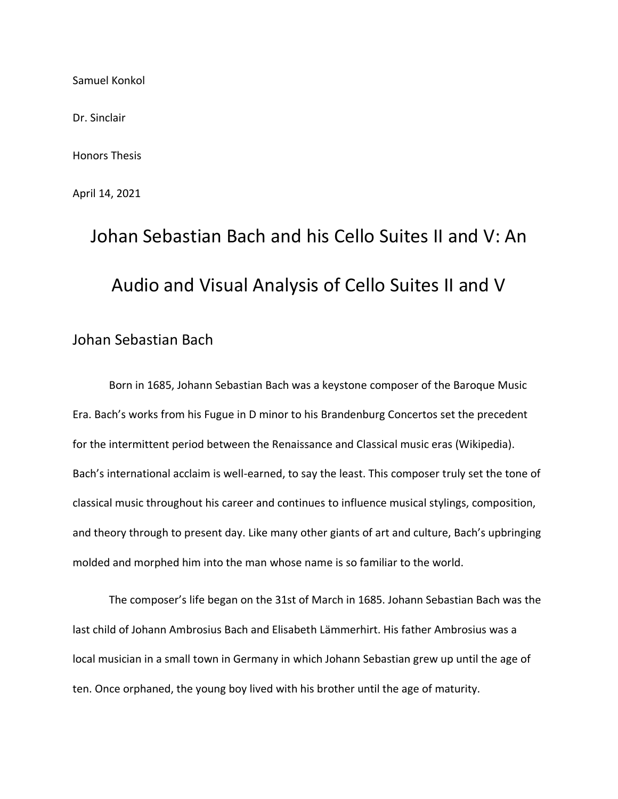Samuel Konkol

Dr. Sinclair

Honors Thesis

April 14, 2021

# Johan Sebastian Bach and his Cello Suites II and V: An Audio and Visual Analysis of Cello Suites II and V

# Johan Sebastian Bach

Born in 1685, Johann Sebastian Bach was a keystone composer of the Baroque Music Era. Bach's works from his Fugue in D minor to his Brandenburg Concertos set the precedent for the intermittent period between the Renaissance and Classical music eras (Wikipedia). Bach's international acclaim is well-earned, to say the least. This composer truly set the tone of classical music throughout his career and continues to influence musical stylings, composition, and theory through to present day. Like many other giants of art and culture, Bach's upbringing molded and morphed him into the man whose name is so familiar to the world.

The composer's life began on the 31st of March in 1685. Johann Sebastian Bach was the last child of Johann Ambrosius Bach and Elisabeth Lämmerhirt. His father Ambrosius was a local musician in a small town in Germany in which Johann Sebastian grew up until the age of ten. Once orphaned, the young boy lived with his brother until the age of maturity.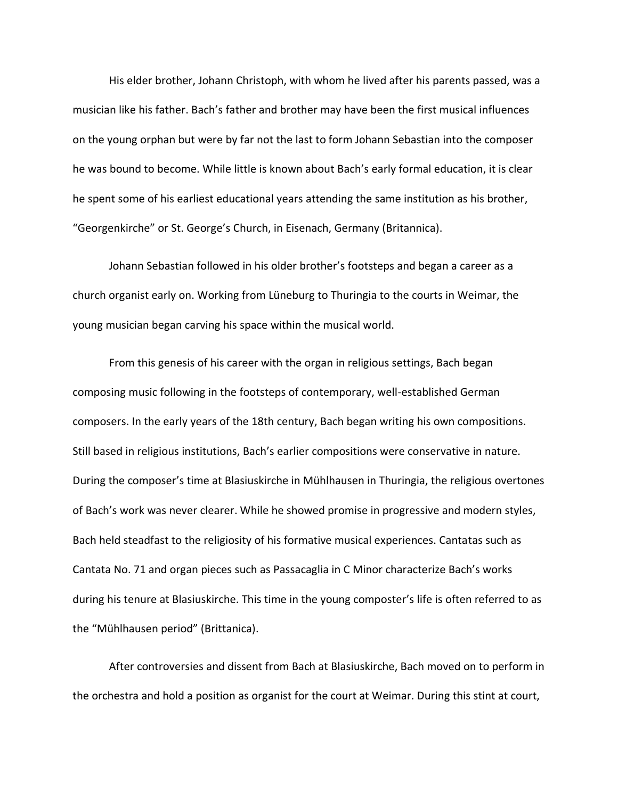His elder brother, Johann Christoph, with whom he lived after his parents passed, was a musician like his father. Bach's father and brother may have been the first musical influences on the young orphan but were by far not the last to form Johann Sebastian into the composer he was bound to become. While little is known about Bach's early formal education, it is clear he spent some of his earliest educational years attending the same institution as his brother, "Georgenkirche" or St. George's Church, in Eisenach, Germany (Britannica).

Johann Sebastian followed in his older brother's footsteps and began a career as a church organist early on. Working from Lüneburg to Thuringia to the courts in Weimar, the young musician began carving his space within the musical world.

From this genesis of his career with the organ in religious settings, Bach began composing music following in the footsteps of contemporary, well-established German composers. In the early years of the 18th century, Bach began writing his own compositions. Still based in religious institutions, Bach's earlier compositions were conservative in nature. During the composer's time at Blasiuskirche in Mühlhausen in Thuringia, the religious overtones of Bach's work was never clearer. While he showed promise in progressive and modern styles, Bach held steadfast to the religiosity of his formative musical experiences. Cantatas such as Cantata No. 71 and organ pieces such as Passacaglia in C Minor characterize Bach's works during his tenure at Blasiuskirche. This time in the young composter's life is often referred to as the "Mühlhausen period" (Brittanica).

After controversies and dissent from Bach at Blasiuskirche, Bach moved on to perform in the orchestra and hold a position as organist for the court at Weimar. During this stint at court,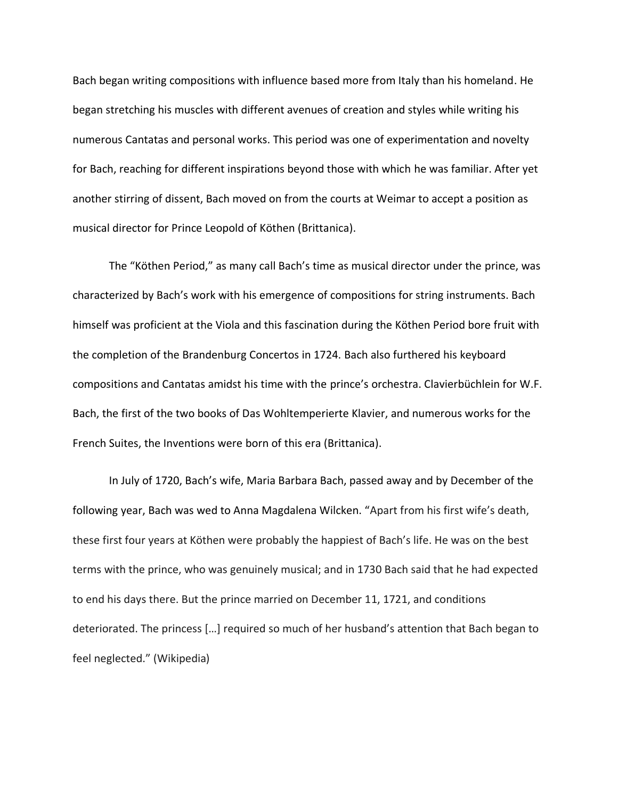Bach began writing compositions with influence based more from Italy than his homeland. He began stretching his muscles with different avenues of creation and styles while writing his numerous Cantatas and personal works. This period was one of experimentation and novelty for Bach, reaching for different inspirations beyond those with which he was familiar. After yet another stirring of dissent, Bach moved on from the courts at Weimar to accept a position as musical director for Prince Leopold of Köthen (Brittanica).

The "Köthen Period," as many call Bach's time as musical director under the prince, was characterized by Bach's work with his emergence of compositions for string instruments. Bach himself was proficient at the Viola and this fascination during the Köthen Period bore fruit with the completion of the Brandenburg Concertos in 1724. Bach also furthered his keyboard compositions and Cantatas amidst his time with the prince's orchestra. Clavierbüchlein for W.F. Bach, the first of the two books of Das Wohltemperierte Klavier, and numerous works for the French Suites, the Inventions were born of this era (Brittanica).

In July of 1720, Bach's wife, Maria Barbara Bach, passed away and by December of the following year, Bach was wed to Anna Magdalena Wilcken. "Apart from his first wife's death, these first four years at Köthen were probably the happiest of Bach's life. He was on the best terms with the prince, who was genuinely musical; and in 1730 Bach said that he had expected to end his days there. But the prince married on December 11, 1721, and conditions deteriorated. The princess […] required so much of her husband's attention that Bach began to feel neglected." (Wikipedia)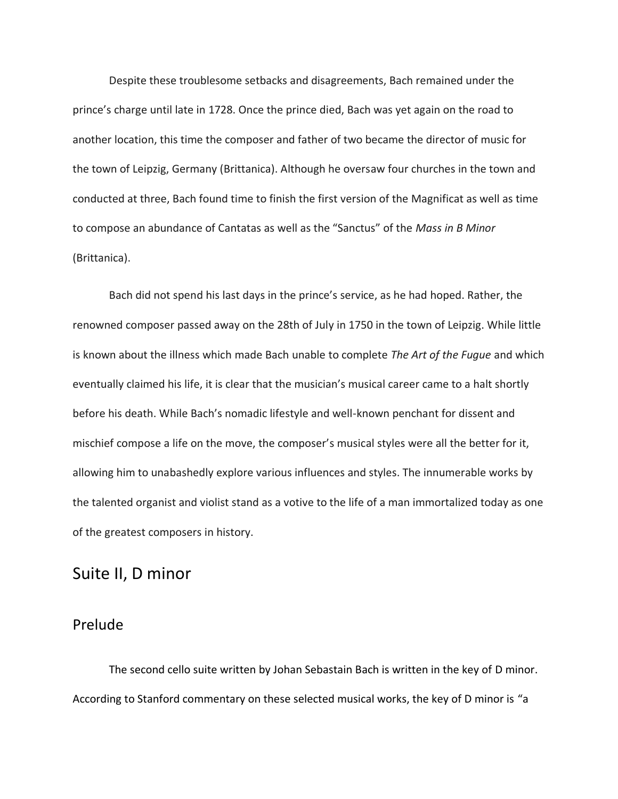Despite these troublesome setbacks and disagreements, Bach remained under the prince's charge until late in 1728. Once the prince died, Bach was yet again on the road to another location, this time the composer and father of two became the director of music for the town of Leipzig, Germany (Brittanica). Although he oversaw four churches in the town and conducted at three, Bach found time to finish the first version of the Magnificat as well as time to compose an abundance of Cantatas as well as the "Sanctus" of the *Mass in B Minor* (Brittanica).

Bach did not spend his last days in the prince's service, as he had hoped. Rather, the renowned composer passed away on the 28th of July in 1750 in the town of Leipzig. While little is known about the illness which made Bach unable to complete *The Art of the Fugue* and which eventually claimed his life, it is clear that the musician's musical career came to a halt shortly before his death. While Bach's nomadic lifestyle and well-known penchant for dissent and mischief compose a life on the move, the composer's musical styles were all the better for it, allowing him to unabashedly explore various influences and styles. The innumerable works by the talented organist and violist stand as a votive to the life of a man immortalized today as one of the greatest composers in history.

# Suite II, D minor

# Prelude

The second cello suite written by Johan Sebastain Bach is written in the key of D minor. According to Stanford commentary on these selected musical works, the key of D minor is "a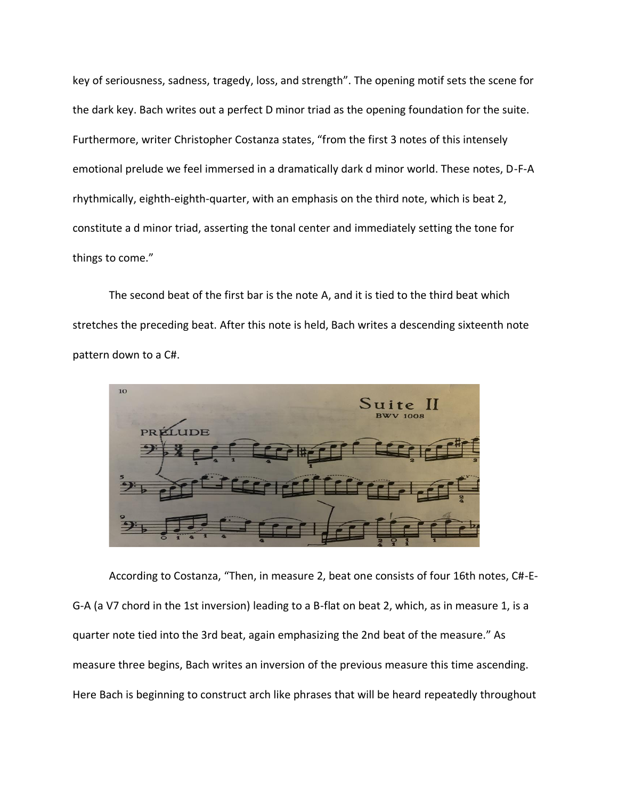key of seriousness, sadness, tragedy, loss, and strength". The opening motif sets the scene for the dark key. Bach writes out a perfect D minor triad as the opening foundation for the suite. Furthermore, writer Christopher Costanza states, "from the first 3 notes of this intensely emotional prelude we feel immersed in a dramatically dark d minor world. These notes, D-F-A rhythmically, eighth-eighth-quarter, with an emphasis on the third note, which is beat 2, constitute a d minor triad, asserting the tonal center and immediately setting the tone for things to come."

The second beat of the first bar is the note A, and it is tied to the third beat which stretches the preceding beat. After this note is held, Bach writes a descending sixteenth note pattern down to a C#.



According to Costanza, "Then, in measure 2, beat one consists of four 16th notes, C#-E-G-A (a V7 chord in the 1st inversion) leading to a B-flat on beat 2, which, as in measure 1, is a quarter note tied into the 3rd beat, again emphasizing the 2nd beat of the measure." As measure three begins, Bach writes an inversion of the previous measure this time ascending. Here Bach is beginning to construct arch like phrases that will be heard repeatedly throughout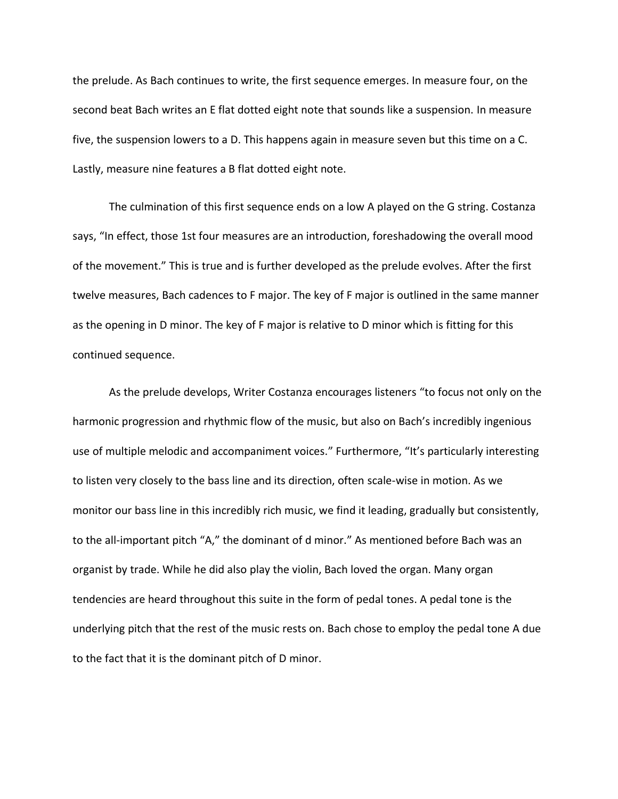the prelude. As Bach continues to write, the first sequence emerges. In measure four, on the second beat Bach writes an E flat dotted eight note that sounds like a suspension. In measure five, the suspension lowers to a D. This happens again in measure seven but this time on a C. Lastly, measure nine features a B flat dotted eight note.

The culmination of this first sequence ends on a low A played on the G string. Costanza says, "In effect, those 1st four measures are an introduction, foreshadowing the overall mood of the movement." This is true and is further developed as the prelude evolves. After the first twelve measures, Bach cadences to F major. The key of F major is outlined in the same manner as the opening in D minor. The key of F major is relative to D minor which is fitting for this continued sequence.

As the prelude develops, Writer Costanza encourages listeners "to focus not only on the harmonic progression and rhythmic flow of the music, but also on Bach's incredibly ingenious use of multiple melodic and accompaniment voices." Furthermore, "It's particularly interesting to listen very closely to the bass line and its direction, often scale-wise in motion. As we monitor our bass line in this incredibly rich music, we find it leading, gradually but consistently, to the all-important pitch "A," the dominant of d minor." As mentioned before Bach was an organist by trade. While he did also play the violin, Bach loved the organ. Many organ tendencies are heard throughout this suite in the form of pedal tones. A pedal tone is the underlying pitch that the rest of the music rests on. Bach chose to employ the pedal tone A due to the fact that it is the dominant pitch of D minor.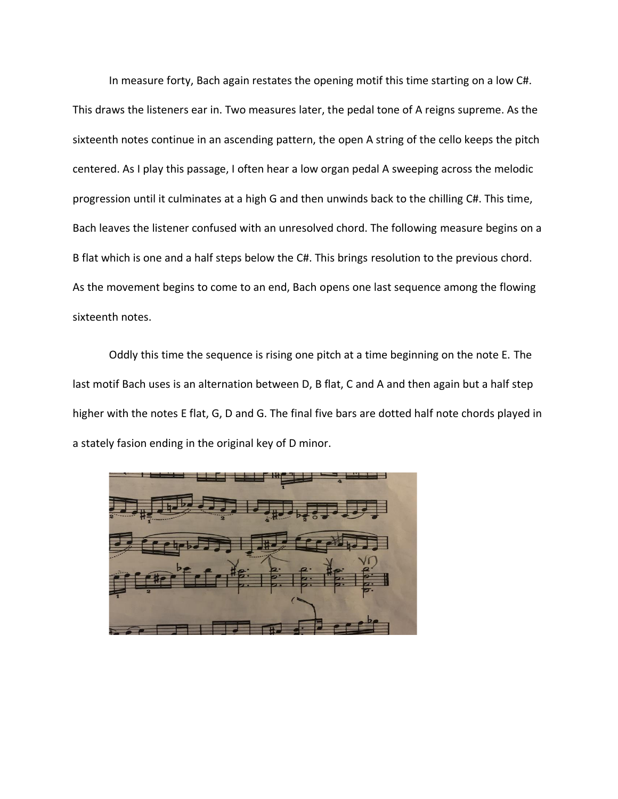In measure forty, Bach again restates the opening motif this time starting on a low C#. This draws the listeners ear in. Two measures later, the pedal tone of A reigns supreme. As the sixteenth notes continue in an ascending pattern, the open A string of the cello keeps the pitch centered. As I play this passage, I often hear a low organ pedal A sweeping across the melodic progression until it culminates at a high G and then unwinds back to the chilling C#. This time, Bach leaves the listener confused with an unresolved chord. The following measure begins on a B flat which is one and a half steps below the C#. This brings resolution to the previous chord. As the movement begins to come to an end, Bach opens one last sequence among the flowing sixteenth notes.

Oddly this time the sequence is rising one pitch at a time beginning on the note E. The last motif Bach uses is an alternation between D, B flat, C and A and then again but a half step higher with the notes E flat, G, D and G. The final five bars are dotted half note chords played in a stately fasion ending in the original key of D minor.

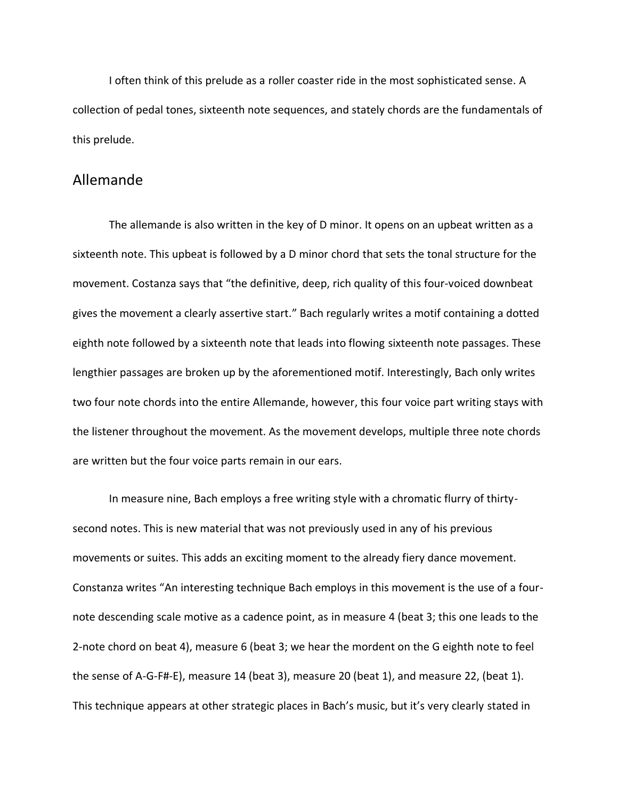I often think of this prelude as a roller coaster ride in the most sophisticated sense. A collection of pedal tones, sixteenth note sequences, and stately chords are the fundamentals of this prelude.

#### Allemande

The allemande is also written in the key of D minor. It opens on an upbeat written as a sixteenth note. This upbeat is followed by a D minor chord that sets the tonal structure for the movement. Costanza says that "the definitive, deep, rich quality of this four-voiced downbeat gives the movement a clearly assertive start." Bach regularly writes a motif containing a dotted eighth note followed by a sixteenth note that leads into flowing sixteenth note passages. These lengthier passages are broken up by the aforementioned motif. Interestingly, Bach only writes two four note chords into the entire Allemande, however, this four voice part writing stays with the listener throughout the movement. As the movement develops, multiple three note chords are written but the four voice parts remain in our ears.

In measure nine, Bach employs a free writing style with a chromatic flurry of thirtysecond notes. This is new material that was not previously used in any of his previous movements or suites. This adds an exciting moment to the already fiery dance movement. Constanza writes "An interesting technique Bach employs in this movement is the use of a fournote descending scale motive as a cadence point, as in measure 4 (beat 3; this one leads to the 2-note chord on beat 4), measure 6 (beat 3; we hear the mordent on the G eighth note to feel the sense of A-G-F#-E), measure 14 (beat 3), measure 20 (beat 1), and measure 22, (beat 1). This technique appears at other strategic places in Bach's music, but it's very clearly stated in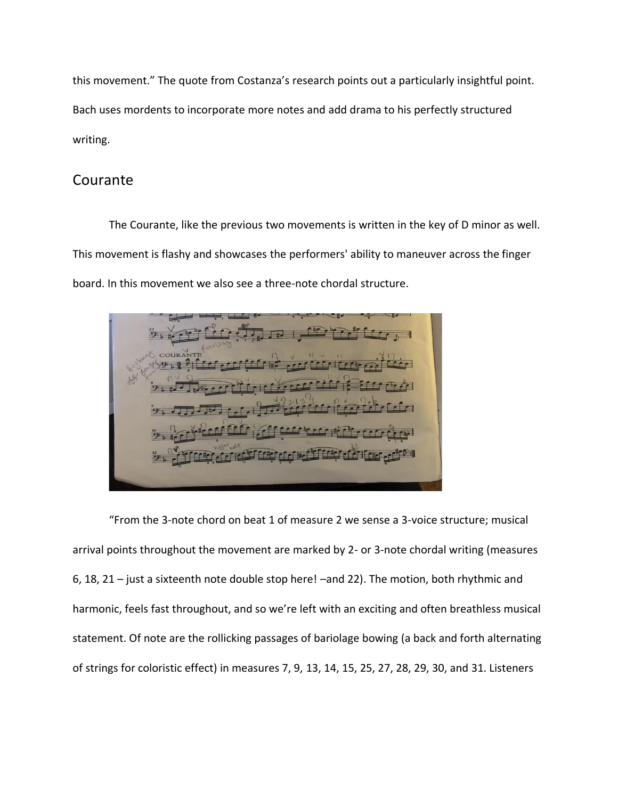this movement." The quote from Costanza's research points out a particularly insightful point. Bach uses mordents to incorporate more notes and add drama to his perfectly structured writing.

# Courante

The Courante, like the previous two movements is written in the key of D minor as well. This movement is flashy and showcases the performers' ability to maneuver across the finger board. In this movement we also see a three-note chordal structure.

"From the 3-note chord on beat 1 of measure 2 we sense a 3-voice structure; musical arrival points throughout the movement are marked by 2- or 3-note chordal writing (measures 6, 18, 21 – just a sixteenth note double stop here! –and 22). The motion, both rhythmic and harmonic, feels fast throughout, and so we're left with an exciting and often breathless musical statement. Of note are the rollicking passages of bariolage bowing (a back and forth alternating of strings for coloristic effect) in measures 7, 9, 13, 14, 15, 25, 27, 28, 29, 30, and 31. Listeners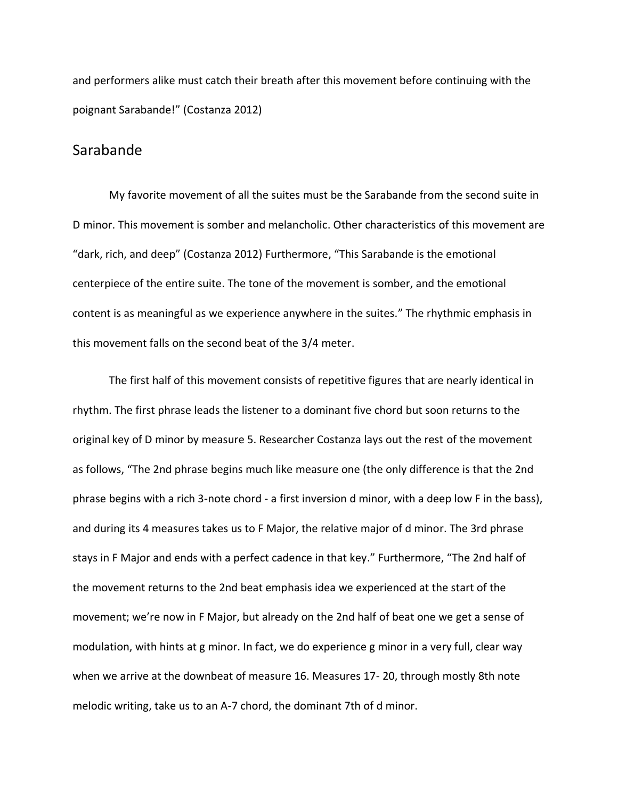and performers alike must catch their breath after this movement before continuing with the poignant Sarabande!" (Costanza 2012)

#### Sarabande

My favorite movement of all the suites must be the Sarabande from the second suite in D minor. This movement is somber and melancholic. Other characteristics of this movement are "dark, rich, and deep" (Costanza 2012) Furthermore, "This Sarabande is the emotional centerpiece of the entire suite. The tone of the movement is somber, and the emotional content is as meaningful as we experience anywhere in the suites." The rhythmic emphasis in this movement falls on the second beat of the 3/4 meter.

The first half of this movement consists of repetitive figures that are nearly identical in rhythm. The first phrase leads the listener to a dominant five chord but soon returns to the original key of D minor by measure 5. Researcher Costanza lays out the rest of the movement as follows, "The 2nd phrase begins much like measure one (the only difference is that the 2nd phrase begins with a rich 3-note chord - a first inversion d minor, with a deep low F in the bass), and during its 4 measures takes us to F Major, the relative major of d minor. The 3rd phrase stays in F Major and ends with a perfect cadence in that key." Furthermore, "The 2nd half of the movement returns to the 2nd beat emphasis idea we experienced at the start of the movement; we're now in F Major, but already on the 2nd half of beat one we get a sense of modulation, with hints at g minor. In fact, we do experience g minor in a very full, clear way when we arrive at the downbeat of measure 16. Measures 17- 20, through mostly 8th note melodic writing, take us to an A-7 chord, the dominant 7th of d minor.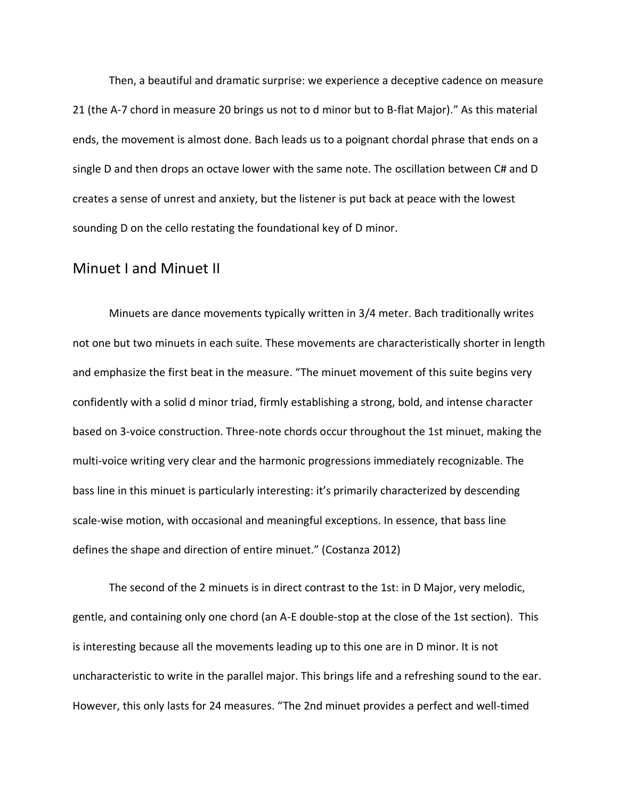Then, a beautiful and dramatic surprise: we experience a deceptive cadence on measure 21 (the A-7 chord in measure 20 brings us not to d minor but to B-flat Major)." As this material ends, the movement is almost done. Bach leads us to a poignant chordal phrase that ends on a single D and then drops an octave lower with the same note. The oscillation between C# and D creates a sense of unrest and anxiety, but the listener is put back at peace with the lowest sounding D on the cello restating the foundational key of D minor.

#### Minuet I and Minuet II

Minuets are dance movements typically written in 3/4 meter. Bach traditionally writes not one but two minuets in each suite. These movements are characteristically shorter in length and emphasize the first beat in the measure. "The minuet movement of this suite begins very confidently with a solid d minor triad, firmly establishing a strong, bold, and intense character based on 3-voice construction. Three-note chords occur throughout the 1st minuet, making the multi-voice writing very clear and the harmonic progressions immediately recognizable. The bass line in this minuet is particularly interesting: it's primarily characterized by descending scale-wise motion, with occasional and meaningful exceptions. In essence, that bass line defines the shape and direction of entire minuet." (Costanza 2012)

The second of the 2 minuets is in direct contrast to the 1st: in D Major, very melodic, gentle, and containing only one chord (an A-E double-stop at the close of the 1st section). This is interesting because all the movements leading up to this one are in D minor. It is not uncharacteristic to write in the parallel major. This brings life and a refreshing sound to the ear. However, this only lasts for 24 measures. "The 2nd minuet provides a perfect and well-timed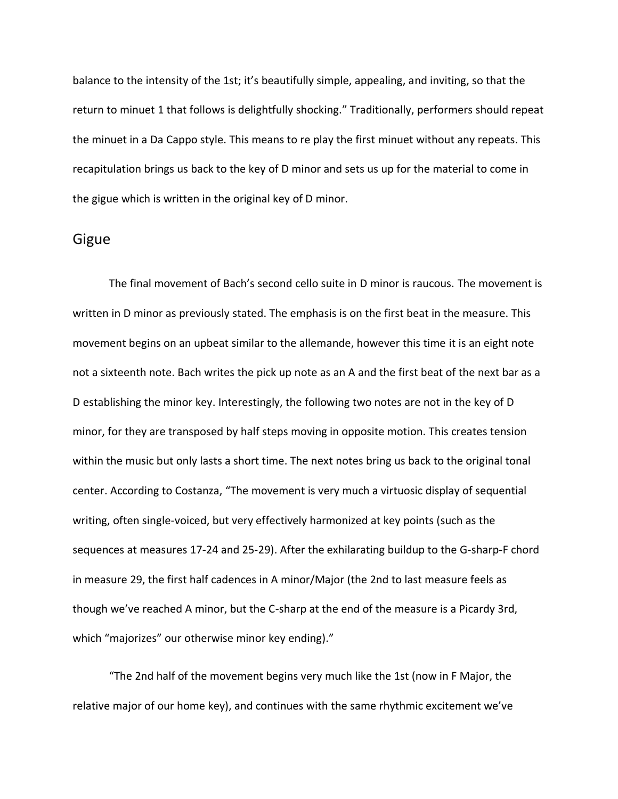balance to the intensity of the 1st; it's beautifully simple, appealing, and inviting, so that the return to minuet 1 that follows is delightfully shocking." Traditionally, performers should repeat the minuet in a Da Cappo style. This means to re play the first minuet without any repeats. This recapitulation brings us back to the key of D minor and sets us up for the material to come in the gigue which is written in the original key of D minor.

#### Gigue

The final movement of Bach's second cello suite in D minor is raucous. The movement is written in D minor as previously stated. The emphasis is on the first beat in the measure. This movement begins on an upbeat similar to the allemande, however this time it is an eight note not a sixteenth note. Bach writes the pick up note as an A and the first beat of the next bar as a D establishing the minor key. Interestingly, the following two notes are not in the key of D minor, for they are transposed by half steps moving in opposite motion. This creates tension within the music but only lasts a short time. The next notes bring us back to the original tonal center. According to Costanza, "The movement is very much a virtuosic display of sequential writing, often single-voiced, but very effectively harmonized at key points (such as the sequences at measures 17-24 and 25-29). After the exhilarating buildup to the G-sharp-F chord in measure 29, the first half cadences in A minor/Major (the 2nd to last measure feels as though we've reached A minor, but the C-sharp at the end of the measure is a Picardy 3rd, which "majorizes" our otherwise minor key ending)."

"The 2nd half of the movement begins very much like the 1st (now in F Major, the relative major of our home key), and continues with the same rhythmic excitement we've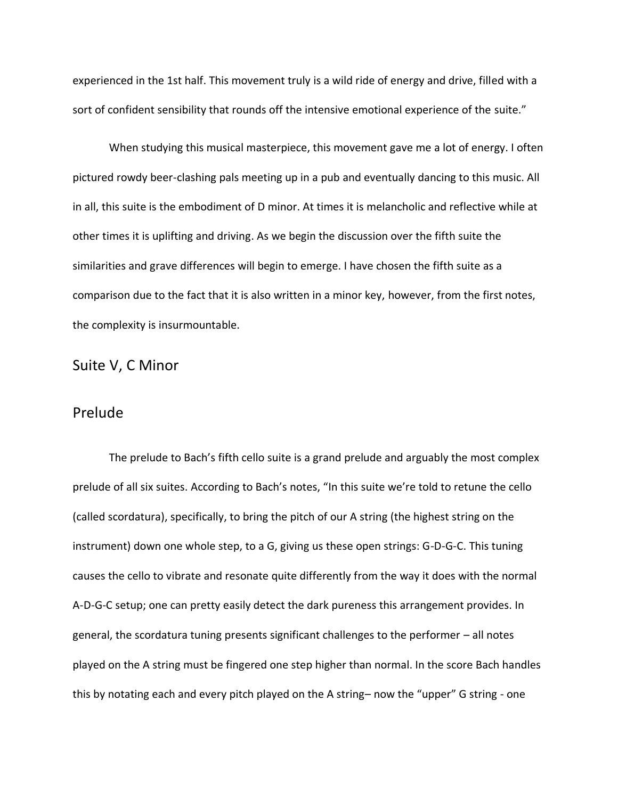experienced in the 1st half. This movement truly is a wild ride of energy and drive, filled with a sort of confident sensibility that rounds off the intensive emotional experience of the suite."

When studying this musical masterpiece, this movement gave me a lot of energy. I often pictured rowdy beer-clashing pals meeting up in a pub and eventually dancing to this music. All in all, this suite is the embodiment of D minor. At times it is melancholic and reflective while at other times it is uplifting and driving. As we begin the discussion over the fifth suite the similarities and grave differences will begin to emerge. I have chosen the fifth suite as a comparison due to the fact that it is also written in a minor key, however, from the first notes, the complexity is insurmountable.

#### Suite V, C Minor

# Prelude

The prelude to Bach's fifth cello suite is a grand prelude and arguably the most complex prelude of all six suites. According to Bach's notes, "In this suite we're told to retune the cello (called scordatura), specifically, to bring the pitch of our A string (the highest string on the instrument) down one whole step, to a G, giving us these open strings: G-D-G-C. This tuning causes the cello to vibrate and resonate quite differently from the way it does with the normal A-D-G-C setup; one can pretty easily detect the dark pureness this arrangement provides. In general, the scordatura tuning presents significant challenges to the performer – all notes played on the A string must be fingered one step higher than normal. In the score Bach handles this by notating each and every pitch played on the A string– now the "upper" G string - one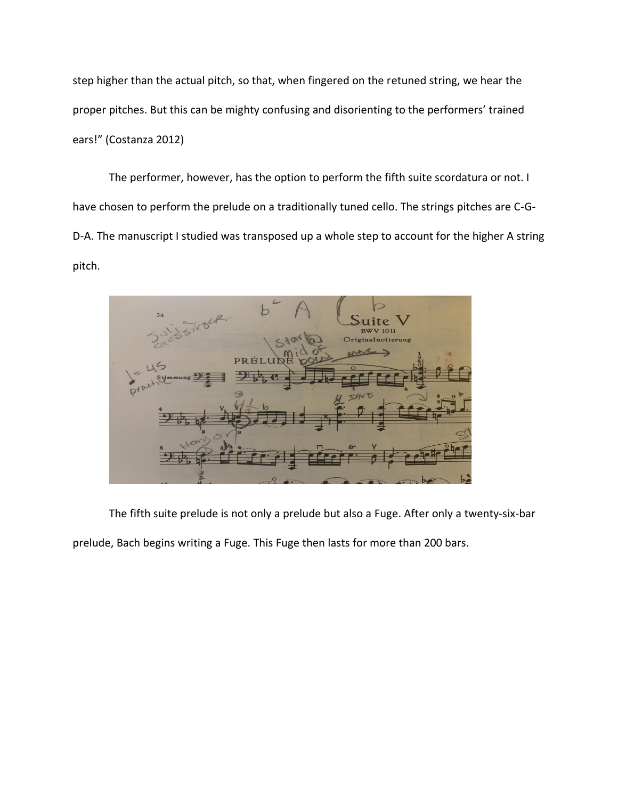step higher than the actual pitch, so that, when fingered on the retuned string, we hear the proper pitches. But this can be mighty confusing and disorienting to the performers' trained ears!" (Costanza 2012)

The performer, however, has the option to perform the fifth suite scordatura or not. I have chosen to perform the prelude on a traditionally tuned cello. The strings pitches are C-G-D-A. The manuscript I studied was transposed up a whole step to account for the higher A string pitch.

**Tite** alnotierun

The fifth suite prelude is not only a prelude but also a Fuge. After only a twenty-six-bar

prelude, Bach begins writing a Fuge. This Fuge then lasts for more than 200 bars.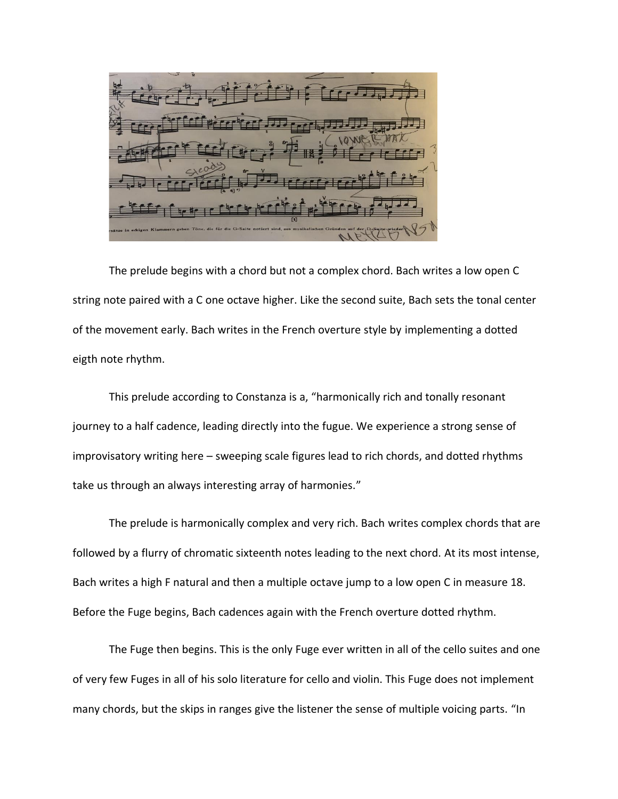The prelude begins with a chord but not a complex chord. Bach writes a low open C string note paired with a C one octave higher. Like the second suite, Bach sets the tonal center of the movement early. Bach writes in the French overture style by implementing a dotted eigth note rhythm.

This prelude according to Constanza is a, "harmonically rich and tonally resonant journey to a half cadence, leading directly into the fugue. We experience a strong sense of improvisatory writing here – sweeping scale figures lead to rich chords, and dotted rhythms take us through an always interesting array of harmonies."

The prelude is harmonically complex and very rich. Bach writes complex chords that are followed by a flurry of chromatic sixteenth notes leading to the next chord. At its most intense, Bach writes a high F natural and then a multiple octave jump to a low open C in measure 18. Before the Fuge begins, Bach cadences again with the French overture dotted rhythm.

The Fuge then begins. This is the only Fuge ever written in all of the cello suites and one of very few Fuges in all of his solo literature for cello and violin. This Fuge does not implement many chords, but the skips in ranges give the listener the sense of multiple voicing parts. "In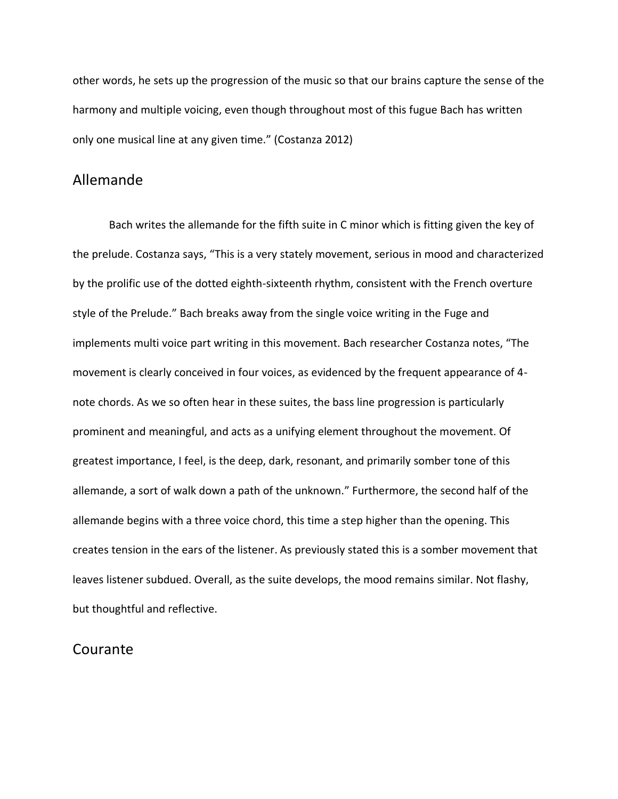other words, he sets up the progression of the music so that our brains capture the sense of the harmony and multiple voicing, even though throughout most of this fugue Bach has written only one musical line at any given time." (Costanza 2012)

### Allemande

Bach writes the allemande for the fifth suite in C minor which is fitting given the key of the prelude. Costanza says, "This is a very stately movement, serious in mood and characterized by the prolific use of the dotted eighth-sixteenth rhythm, consistent with the French overture style of the Prelude." Bach breaks away from the single voice writing in the Fuge and implements multi voice part writing in this movement. Bach researcher Costanza notes, "The movement is clearly conceived in four voices, as evidenced by the frequent appearance of 4 note chords. As we so often hear in these suites, the bass line progression is particularly prominent and meaningful, and acts as a unifying element throughout the movement. Of greatest importance, I feel, is the deep, dark, resonant, and primarily somber tone of this allemande, a sort of walk down a path of the unknown." Furthermore, the second half of the allemande begins with a three voice chord, this time a step higher than the opening. This creates tension in the ears of the listener. As previously stated this is a somber movement that leaves listener subdued. Overall, as the suite develops, the mood remains similar. Not flashy, but thoughtful and reflective.

#### Courante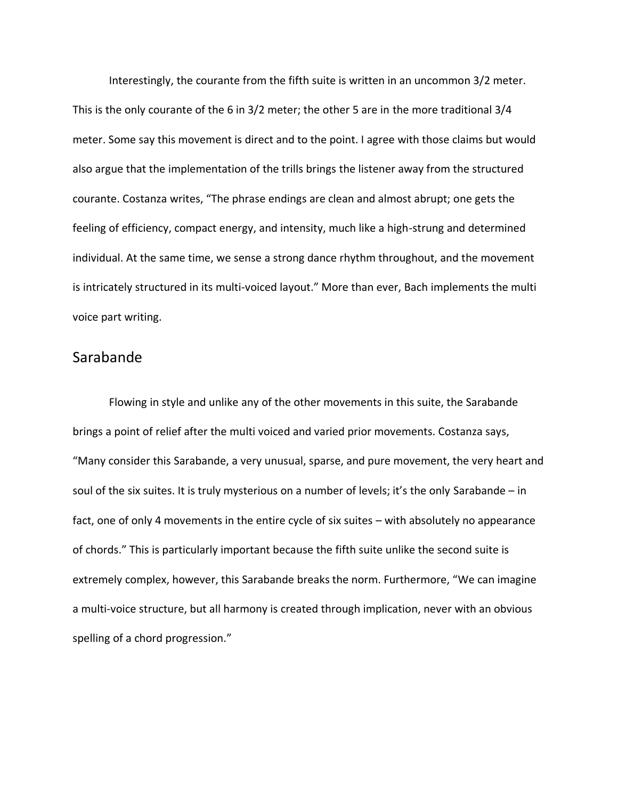Interestingly, the courante from the fifth suite is written in an uncommon 3/2 meter. This is the only courante of the 6 in 3/2 meter; the other 5 are in the more traditional 3/4 meter. Some say this movement is direct and to the point. I agree with those claims but would also argue that the implementation of the trills brings the listener away from the structured courante. Costanza writes, "The phrase endings are clean and almost abrupt; one gets the feeling of efficiency, compact energy, and intensity, much like a high-strung and determined individual. At the same time, we sense a strong dance rhythm throughout, and the movement is intricately structured in its multi-voiced layout." More than ever, Bach implements the multi voice part writing.

# Sarabande

Flowing in style and unlike any of the other movements in this suite, the Sarabande brings a point of relief after the multi voiced and varied prior movements. Costanza says, "Many consider this Sarabande, a very unusual, sparse, and pure movement, the very heart and soul of the six suites. It is truly mysterious on a number of levels; it's the only Sarabande – in fact, one of only 4 movements in the entire cycle of six suites – with absolutely no appearance of chords." This is particularly important because the fifth suite unlike the second suite is extremely complex, however, this Sarabande breaks the norm. Furthermore, "We can imagine a multi-voice structure, but all harmony is created through implication, never with an obvious spelling of a chord progression."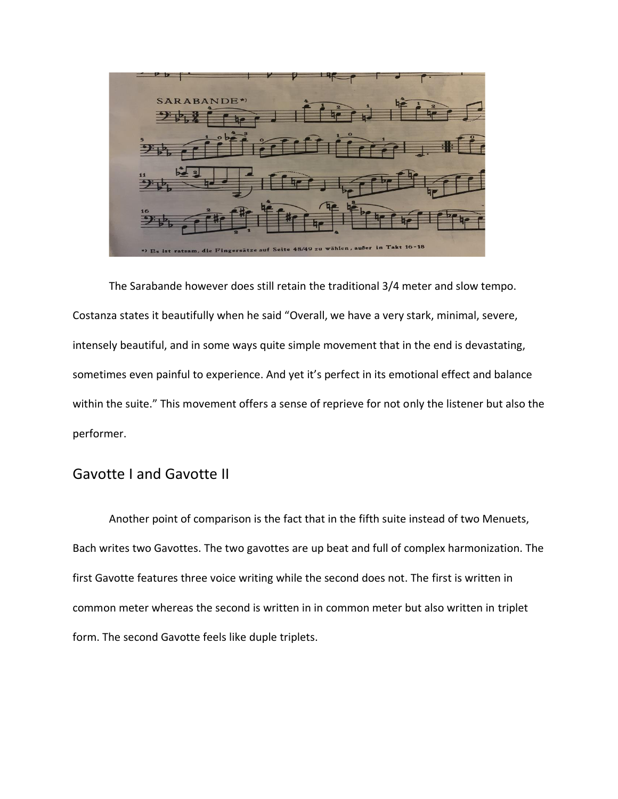

The Sarabande however does still retain the traditional 3/4 meter and slow tempo. Costanza states it beautifully when he said "Overall, we have a very stark, minimal, severe, intensely beautiful, and in some ways quite simple movement that in the end is devastating, sometimes even painful to experience. And yet it's perfect in its emotional effect and balance within the suite." This movement offers a sense of reprieve for not only the listener but also the performer.

# Gavotte I and Gavotte II

Another point of comparison is the fact that in the fifth suite instead of two Menuets, Bach writes two Gavottes. The two gavottes are up beat and full of complex harmonization. The first Gavotte features three voice writing while the second does not. The first is written in common meter whereas the second is written in in common meter but also written in triplet form. The second Gavotte feels like duple triplets.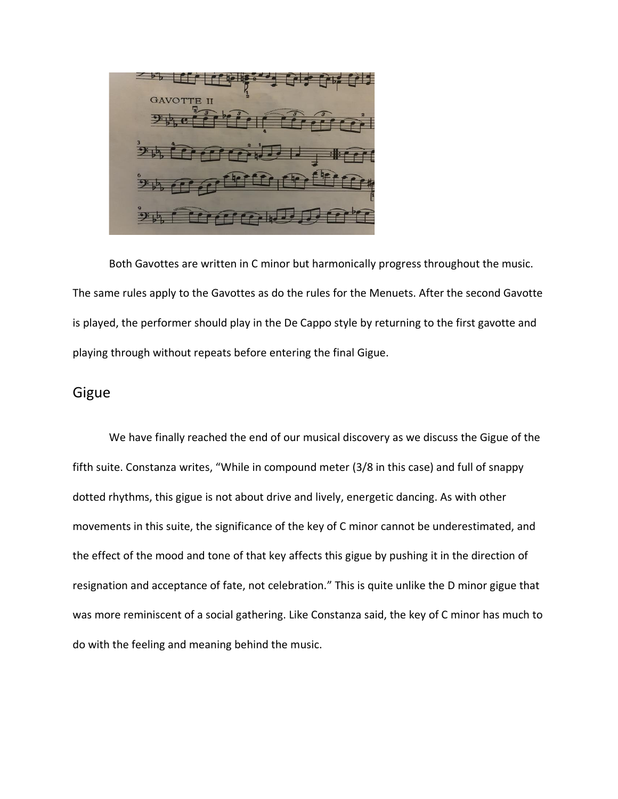Both Gavottes are written in C minor but harmonically progress throughout the music. The same rules apply to the Gavottes as do the rules for the Menuets. After the second Gavotte is played, the performer should play in the De Cappo style by returning to the first gavotte and playing through without repeats before entering the final Gigue.

#### Gigue

We have finally reached the end of our musical discovery as we discuss the Gigue of the fifth suite. Constanza writes, "While in compound meter (3/8 in this case) and full of snappy dotted rhythms, this gigue is not about drive and lively, energetic dancing. As with other movements in this suite, the significance of the key of C minor cannot be underestimated, and the effect of the mood and tone of that key affects this gigue by pushing it in the direction of resignation and acceptance of fate, not celebration." This is quite unlike the D minor gigue that was more reminiscent of a social gathering. Like Constanza said, the key of C minor has much to do with the feeling and meaning behind the music.